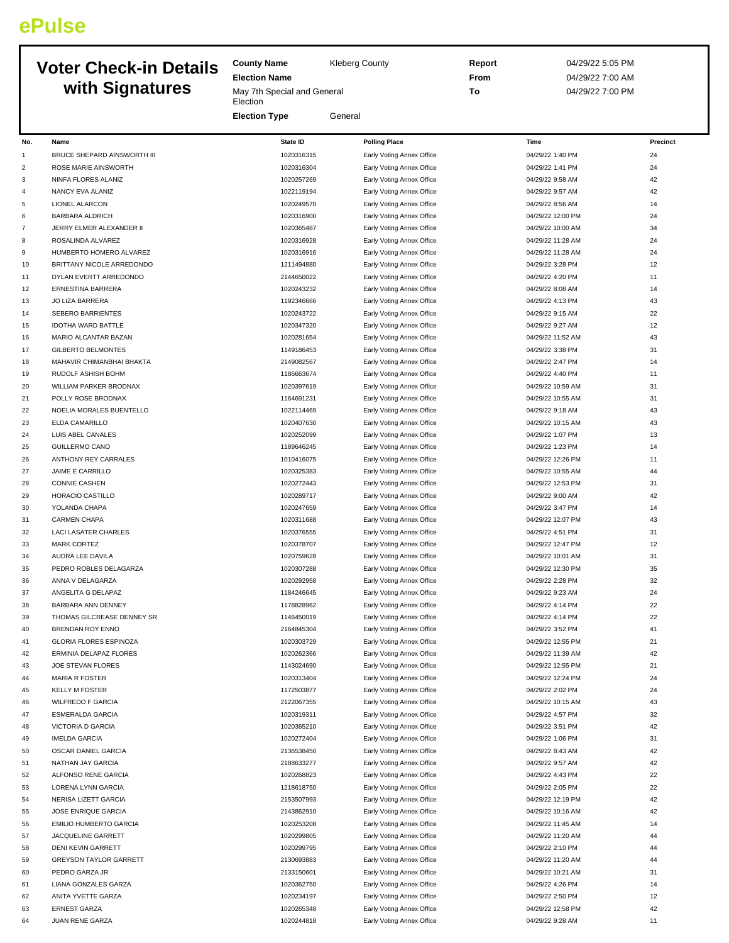# **ePulse**

## **Voter Check-in Details with Signatures**

**County Name** Kleberg County **Election Name** May 7th Special and General **Election Election Type** General **Report** 04/29/22 5:05 PM **From** 04/29/22 7:00 AM **To** 04/29/22 7:00 PM

| No.            | Name                          | State ID   | <b>Polling Place</b>      | Time              | Precinct |
|----------------|-------------------------------|------------|---------------------------|-------------------|----------|
| 1              | BRUCE SHEPARD AINSWORTH III   | 1020316315 | Early Voting Annex Office | 04/29/22 1:40 PM  | 24       |
| $\overline{2}$ | ROSE MARIE AINSWORTH          | 1020316304 | Early Voting Annex Office | 04/29/22 1:41 PM  | 24       |
| 3              | NINFA FLORES ALANIZ           | 1020257269 | Early Voting Annex Office | 04/29/22 9:58 AM  | 42       |
| $\overline{4}$ | NANCY EVA ALANIZ              | 1022119194 | Early Voting Annex Office | 04/29/22 9:57 AM  | 42       |
| 5              | <b>LIONEL ALARCON</b>         | 1020249570 | Early Voting Annex Office | 04/29/22 8:56 AM  | 14       |
| 6              | <b>BARBARA ALDRICH</b>        | 1020316900 | Early Voting Annex Office | 04/29/22 12:00 PM | 24       |
| $\overline{7}$ | JERRY ELMER ALEXANDER II      | 1020365487 | Early Voting Annex Office | 04/29/22 10:00 AM | 34       |
| 8              | ROSALINDA ALVAREZ             | 1020316928 | Early Voting Annex Office | 04/29/22 11:28 AM | 24       |
| 9              | HUMBERTO HOMERO ALVAREZ       | 1020316916 | Early Voting Annex Office | 04/29/22 11:28 AM | 24       |
| 10             | BRITTANY NICOLE ARREDONDO     | 1211494880 | Early Voting Annex Office | 04/29/22 3:28 PM  | 12       |
| 11             | DYLAN EVERTT ARREDONDO        | 2144650022 | Early Voting Annex Office | 04/29/22 4:20 PM  | 11       |
| 12             | <b>ERNESTINA BARRERA</b>      | 1020243232 | Early Voting Annex Office | 04/29/22 8:08 AM  | 14       |
| 13             | JO LIZA BARRERA               | 1192346666 | Early Voting Annex Office | 04/29/22 4:13 PM  | 43       |
| 14             | <b>SEBERO BARRIENTES</b>      | 1020243722 | Early Voting Annex Office | 04/29/22 9:15 AM  | 22       |
| 15             | <b>IDOTHA WARD BATTLE</b>     | 1020347320 | Early Voting Annex Office | 04/29/22 9:27 AM  | 12       |
| 16             | MARIO ALCANTAR BAZAN          | 1020281654 | Early Voting Annex Office | 04/29/22 11:52 AM | 43       |
| 17             | <b>GILBERTO BELMONTES</b>     | 1149186453 | Early Voting Annex Office | 04/29/22 3:38 PM  | 31       |
| 18             | MAHAVIR CHIMANBHAI BHAKTA     | 2149082567 | Early Voting Annex Office | 04/29/22 2:47 PM  | 14       |
| 19             | RUDOLF ASHISH BOHM            | 1186663674 | Early Voting Annex Office | 04/29/22 4:40 PM  | 11       |
| 20             | WILLIAM PARKER BRODNAX        | 1020397619 | Early Voting Annex Office | 04/29/22 10:59 AM | 31       |
| 21             | POLLY ROSE BRODNAX            | 1164691231 | Early Voting Annex Office | 04/29/22 10:55 AM | 31       |
| 22             | NOELIA MORALES BUENTELLO      | 1022114469 | Early Voting Annex Office | 04/29/22 9:18 AM  | 43       |
| 23             | ELDA CAMARILLO                | 1020407630 | Early Voting Annex Office | 04/29/22 10:15 AM | 43       |
|                |                               |            |                           |                   |          |
| 24             | LUIS ABEL CANALES             | 1020252099 | Early Voting Annex Office | 04/29/22 1:07 PM  | 13       |
| 25             | <b>GUILLERMO CANO</b>         | 1189646245 | Early Voting Annex Office | 04/29/22 1:23 PM  | 14       |
| 26             | ANTHONY REY CARRALES          | 1010416075 | Early Voting Annex Office | 04/29/22 12:26 PM | 11       |
| 27             | JAIME E CARRILLO              | 1020325383 | Early Voting Annex Office | 04/29/22 10:55 AM | 44       |
| 28             | <b>CONNIE CASHEN</b>          | 1020272443 | Early Voting Annex Office | 04/29/22 12:53 PM | 31       |
| 29             | HORACIO CASTILLO              | 1020289717 | Early Voting Annex Office | 04/29/22 9:00 AM  | 42       |
| 30             | YOLANDA CHAPA                 | 1020247659 | Early Voting Annex Office | 04/29/22 3:47 PM  | 14       |
| 31             | <b>CARMEN CHAPA</b>           | 1020311688 | Early Voting Annex Office | 04/29/22 12:07 PM | 43       |
| 32             | <b>LACI LASATER CHARLES</b>   | 1020376555 | Early Voting Annex Office | 04/29/22 4:51 PM  | 31       |
| 33             | <b>MARK CORTEZ</b>            | 1020378707 | Early Voting Annex Office | 04/29/22 12:47 PM | 12       |
| 34             | AUDRA LEE DAVILA              | 1020759628 | Early Voting Annex Office | 04/29/22 10:01 AM | 31       |
| 35             | PEDRO ROBLES DELAGARZA        | 1020307288 | Early Voting Annex Office | 04/29/22 12:30 PM | 35       |
| 36             | ANNA V DELAGARZA              | 1020292958 | Early Voting Annex Office | 04/29/22 2:28 PM  | 32       |
| 37             | ANGELITA G DELAPAZ            | 1184246645 | Early Voting Annex Office | 04/29/22 9:23 AM  | 24       |
| 38             | BARBARA ANN DENNEY            | 1178828962 | Early Voting Annex Office | 04/29/22 4:14 PM  | 22       |
| 39             | THOMAS GILCREASE DENNEY SR    | 1146450019 | Early Voting Annex Office | 04/29/22 4:14 PM  | 22       |
| 40             | BRENDAN ROY ENNO              | 2164845304 | Early Voting Annex Office | 04/29/22 3:52 PM  | 41       |
| 41             | <b>GLORIA FLORES ESPINOZA</b> | 1020303729 | Early Voting Annex Office | 04/29/22 12:55 PM | 21       |
| 42             | ERMINIA DELAPAZ FLORES        | 1020262366 | Early Voting Annex Office | 04/29/22 11:39 AM | 42       |
| 43             | JOE STEVAN FLORES             | 1143024690 | Early Voting Annex Office | 04/29/22 12:55 PM | 21       |
| 44             | <b>MARIA R FOSTER</b>         | 1020313404 | Early Voting Annex Office | 04/29/22 12:24 PM | 24       |
| 45             | <b>KELLY M FOSTER</b>         | 1172503877 | Early Voting Annex Office | 04/29/22 2:02 PM  | 24       |
| 46             | <b>WILFREDO F GARCIA</b>      | 2122067355 | Early Voting Annex Office | 04/29/22 10:15 AM | 43       |
| 47             | <b>ESMERALDA GARCIA</b>       | 1020319311 | Early Voting Annex Office | 04/29/22 4:57 PM  | 32       |
| 48             | VICTORIA D GARCIA             | 1020365210 | Early Voting Annex Office | 04/29/22 3:51 PM  | 42       |
| 49             | <b>IMELDA GARCIA</b>          | 1020272404 | Early Voting Annex Office | 04/29/22 1:06 PM  | 31       |
| 50             | OSCAR DANIEL GARCIA           | 2136538450 | Early Voting Annex Office | 04/29/22 8:43 AM  | 42       |
| 51             | NATHAN JAY GARCIA             | 2188633277 | Early Voting Annex Office | 04/29/22 9:57 AM  | 42       |
| 52             | ALFONSO RENE GARCIA           | 1020268823 | Early Voting Annex Office | 04/29/22 4:43 PM  | 22       |
| 53             | LORENA LYNN GARCIA            | 1218618750 | Early Voting Annex Office | 04/29/22 2:05 PM  | 22       |
| 54             | NERISA LIZETT GARCIA          | 2153507993 | Early Voting Annex Office | 04/29/22 12:19 PM | 42       |
| 55             | JOSE ENRIQUE GARCIA           | 2143862910 | Early Voting Annex Office | 04/29/22 10:16 AM | 42       |
| 56             | EMILIO HUMBERTO GARCIA        | 1020253208 | Early Voting Annex Office | 04/29/22 11:45 AM | 14       |
| 57             | JACQUELINE GARRETT            | 1020299805 |                           | 04/29/22 11:20 AM | 44       |
|                |                               |            | Early Voting Annex Office |                   |          |
| 58             | DENI KEVIN GARRETT            | 1020299795 | Early Voting Annex Office | 04/29/22 2:10 PM  | 44       |
| 59             | <b>GREYSON TAYLOR GARRETT</b> | 2130693883 | Early Voting Annex Office | 04/29/22 11:20 AM | 44       |
| 60             | PEDRO GARZA JR                | 2133150601 | Early Voting Annex Office | 04/29/22 10:21 AM | 31       |
| 61             | LIANA GONZALES GARZA          | 1020362750 | Early Voting Annex Office | 04/29/22 4:26 PM  | 14       |
| 62             | ANITA YVETTE GARZA            | 1020234197 | Early Voting Annex Office | 04/29/22 2:50 PM  | 12       |
| 63             | <b>ERNEST GARZA</b>           | 1020265348 | Early Voting Annex Office | 04/29/22 12:58 PM | 42       |
| 64             | JUAN RENE GARZA               | 1020244818 | Early Voting Annex Office | 04/29/22 9:28 AM  | 11       |